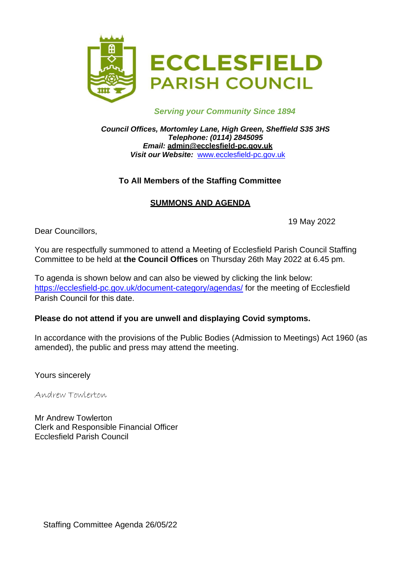

#### *Serving your Community Since 1894*

*Council Offices, Mortomley Lane, High Green, Sheffield S35 3HS Telephone: (0114) 2845095 Email:* **[admin@ecclesfield-pc.gov.uk](mailto:admin@ecclesfield-pc.gov.uk)** *Visit our Website:* [www.ecclesfield-pc.gov.uk](http://www.ecclesfield-pc.gov.uk/)

## **To All Members of the Staffing Committee**

## **SUMMONS AND AGENDA**

19 May 2022

Dear Councillors,

You are respectfully summoned to attend a Meeting of Ecclesfield Parish Council Staffing Committee to be held at **the Council Offices** on Thursday 26th May 2022 at 6.45 pm.

To agenda is shown below and can also be viewed by clicking the link below: <https://ecclesfield-pc.gov.uk/document-category/agendas/> for the meeting of Ecclesfield Parish Council for this date.

### **Please do not attend if you are unwell and displaying Covid symptoms.**

In accordance with the provisions of the Public Bodies (Admission to Meetings) Act 1960 (as amended), the public and press may attend the meeting.

Yours sincerely

Andrew Towlerton

Mr Andrew Towlerton Clerk and Responsible Financial Officer Ecclesfield Parish Council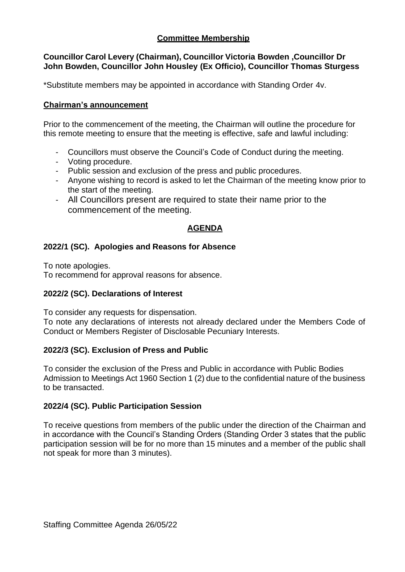# **Committee Membership**

#### **Councillor Carol Levery (Chairman), Councillor Victoria Bowden ,Councillor Dr John Bowden, Councillor John Housley (Ex Officio), Councillor Thomas Sturgess**

\*Substitute members may be appointed in accordance with Standing Order 4v.

#### **Chairman's announcement**

Prior to the commencement of the meeting, the Chairman will outline the procedure for this remote meeting to ensure that the meeting is effective, safe and lawful including:

- Councillors must observe the Council's Code of Conduct during the meeting.
- Voting procedure.
- Public session and exclusion of the press and public procedures.
- Anyone wishing to record is asked to let the Chairman of the meeting know prior to the start of the meeting.
- All Councillors present are required to state their name prior to the commencement of the meeting.

# **AGENDA**

### **2022/1 (SC). Apologies and Reasons for Absence**

To note apologies.

To recommend for approval reasons for absence.

### **2022/2 (SC). Declarations of Interest**

To consider any requests for dispensation.

To note any declarations of interests not already declared under the Members Code of Conduct or Members Register of Disclosable Pecuniary Interests.

### **2022/3 (SC). Exclusion of Press and Public**

To consider the exclusion of the Press and Public in accordance with Public Bodies Admission to Meetings Act 1960 Section 1 (2) due to the confidential nature of the business to be transacted.

#### **2022/4 (SC). Public Participation Session**

To receive questions from members of the public under the direction of the Chairman and in accordance with the Council's Standing Orders (Standing Order 3 states that the public participation session will be for no more than 15 minutes and a member of the public shall not speak for more than 3 minutes).